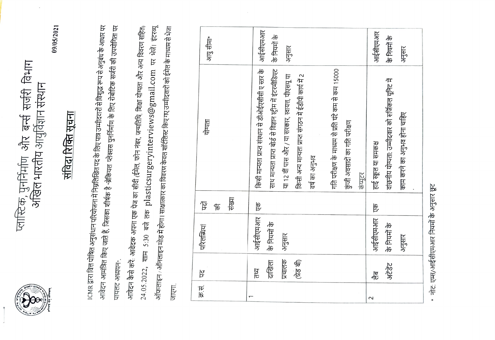

# प्लास्टिक, पुनर्निर्माण और बन्से सर्जरी विभाग<br>अखिल भारतीय आयुर्विज्ञान संस्थान

09/05/2021

## <u>संविदा रिक्ति सूचना</u>

ICMR द्वारा वित्त पोषित अनुसंधान परियोजना में निम्नलिखित पद के लिए पात्र उम्मीदवारों से विशुद्ध रूप से अनुबंध के आधार पर आवेदन आमंत्रित किए जाते हैं, जिसका शीर्षक है "ब्रेकियल प्लेक्सस पुनर्निर्माण के लिए रोबोटिक सर्जरी की उपयोगिता पर पायलट अध्ययन<sub>".</sub>

24.05.2022, शाम 5:30 बजे तक plasticsurgeryinterviews@gmail.com पर भेजें। इंटरव्यू आवेदन कैसे करें. अविदक अपना एक पेज का सीवी (ईमेल, फोन नंबर, जन्मतिथि, शिक्षा योग्यता और अन्य विवरण सहित, ऑफलाइन / ऑनलाइन मोड में होगा। साक्षात्कार का विवरण केवल शॉर्टलिस्ट किए गए उम्मीदवारों को ईमेल के माध्यम से भेज जाएगा.

|        | ጅ           | परिलब्धियां  | 乍      | पोग्यता                                                     |              |
|--------|-------------|--------------|--------|-------------------------------------------------------------|--------------|
|        |             |              | 乍      |                                                             | आयु सीमा*    |
|        |             |              | संख्या |                                                             |              |
|        | प्तथ        | आईसीएमआर     | ष्ट्रि | किसी मान्यता प्राप्त संस्थान से डीओईएसीसी ए स्तर के         | आईसीएमआर     |
|        | दाखिला      | 市中市市         |        | साथ मान्यता प्राप्त बोर्ड से विज्ञान स्ट्रीम में इंटरमीडिएट | के निगमें के |
|        | प्रचालक     | अनुसार       |        | या 12 वीं पास और / या सरकार, स्वायत्त, पीएसयू या            | अनुसार       |
|        | त्रेड बी    |              |        | किसी अन्य मान्यता प्राप्त संगठन में ईडीपी कार्य में 2       |              |
|        |             |              |        | वर्ष का अनुभव                                               |              |
|        |             |              |        | गति परीक्षण के माध्यम से प्रति घंटे कम से कम 15000          |              |
|        |             |              |        | कुंजी अवसादों का गति परीक्षण                                |              |
|        |             |              |        | कंप्यूटर                                                    |              |
| $\sim$ | ्राह<br>ग   | आईसीएमआर     | हि     | हाई स्कूल या समकक्ष                                         | आईसीएमआर     |
|        | <b>PRAS</b> | के निपनों के |        | वांछनीय योग्यता: उम्मीदवार को सर्जिकल यूनिट में             | 市下市市         |
|        |             | अनुसार       |        | काम करने का अनुभव होना चाहिए                                | अनुसार       |
|        |             |              |        |                                                             |              |

नोट: एम्स/आईसीएमआर नियमों के अनुसार छूट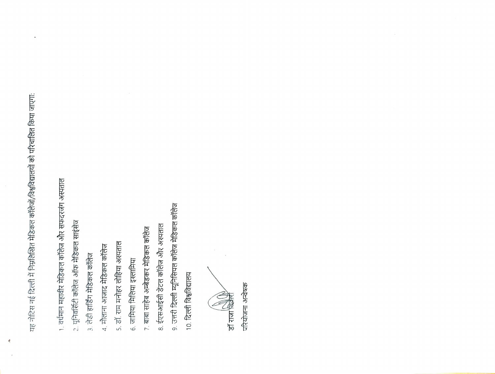यह नोटिस नई दिल्ली में निम्नलिखित मेडिकल कॉलेजों/विश्वविद्यालयों को परिचालित किया जाएगा:

Ą

- 1. वर्धमान महावीर मेडिकल कॉलेज और सफदरजंग अस्पताल
- 2. यूनिवर्सिटी कॉलेज ऑफ मेडिकल साइंसेज
- 3. लेडी हार्डिंग मेडिकल कॉलेज
- 4. मौलाना आजाद मेडिकल कॉलेज
- 5. डॉ. राम मनोहर लोहिया अस्पताल
- 6. जामिया मिलिया इस्लामिया
- 7. बाबा साहेब अम्बेडकर मेडिकल कॉलेज
- 8. ईएसआईसी डेंटल कॉलेज और अस्पताल
- ९. उत्तरी दिल्ली म्यूनिसिपल कॉलेज मेडिकल कॉलेज
- $10.$  दिल्ली विश्वविद्यालय

**Read For Property** 

परियोजना अन्वेषक